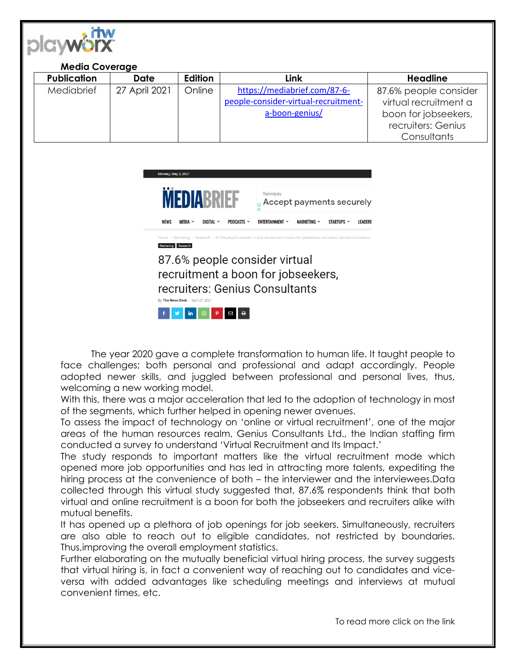

## **Media Coverage Publication Date Edition Link Headline** Mediabrief 27 April 2021 | Online | [https://mediabrief.com/87-6](https://mediabrief.com/87-6-people-consider-virtual-recruitment-a-boon-genius/) [people-consider-virtual-recruitment](https://mediabrief.com/87-6-people-consider-virtual-recruitment-a-boon-genius/)[a-boon-genius/](https://mediabrief.com/87-6-people-consider-virtual-recruitment-a-boon-genius/) 87.6% people consider virtual recruitment a boon for jobseekers, recruiters: Genius **Consultants**



recruiters: Genius Consultants

By The News Desk - April 27, 2021



The year 2020 gave a complete transformation to human life. It taught people to face challenges; both personal and professional and adapt accordingly. People adopted newer skills, and juggled between professional and personal lives, thus, welcoming a new working model.

With this, there was a major acceleration that led to the adoption of technology in most of the segments, which further helped in opening newer avenues.

To assess the impact of technology on 'online or virtual recruitment', one of the major areas of the human resources realm, Genius Consultants Ltd., the Indian staffing firm conducted a survey to understand 'Virtual Recruitment and Its Impact.'

The study responds to important matters like the virtual recruitment mode which opened more job opportunities and has led in attracting more talents, expediting the hiring process at the convenience of both – the interviewer and the interviewees.Data collected through this virtual study suggested that, 87.6% respondents think that both virtual and online recruitment is a boon for both the jobseekers and recruiters alike with mutual benefits.

It has opened up a plethora of job openings for job seekers. Simultaneously, recruiters are also able to reach out to eligible candidates, not restricted by boundaries. Thus,improving the overall employment statistics.

Further elaborating on the mutually beneficial virtual hiring process, the survey suggests that virtual hiring is, in fact a convenient way of reaching out to candidates and viceversa with added advantages like scheduling meetings and interviews at mutual convenient times, etc.

To read more click on the link